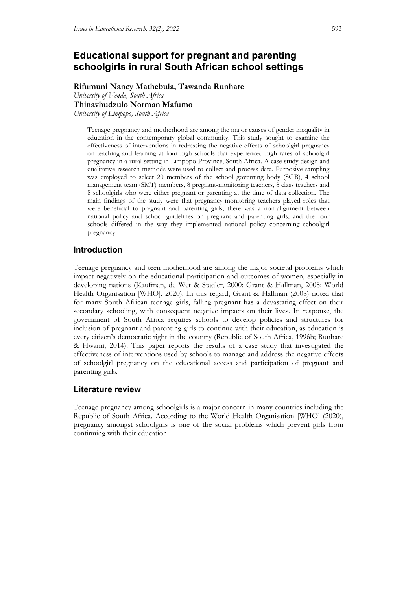# **Educational support for pregnant and parenting schoolgirls in rural South African school settings**

**Rifumuni Nancy Mathebula, Tawanda Runhare** *University of Venda, South Africa*

**Thinavhudzulo Norman Mafumo**

*University of Limpopo, South Africa*

Teenage pregnancy and motherhood are among the major causes of gender inequality in education in the contemporary global community. This study sought to examine the effectiveness of interventions in redressing the negative effects of schoolgirl pregnancy on teaching and learning at four high schools that experienced high rates of schoolgirl pregnancy in a rural setting in Limpopo Province, South Africa. A case study design and qualitative research methods were used to collect and process data. Purposive sampling was employed to select 20 members of the school governing body (SGB), 4 school management team (SMT) members, 8 pregnant-monitoring teachers, 8 class teachers and 8 schoolgirls who were either pregnant or parenting at the time of data collection. The main findings of the study were that pregnancy-monitoring teachers played roles that were beneficial to pregnant and parenting girls, there was a non-alignment between national policy and school guidelines on pregnant and parenting girls, and the four schools differed in the way they implemented national policy concerning schoolgirl pregnancy.

## **Introduction**

Teenage pregnancy and teen motherhood are among the major societal problems which impact negatively on the educational participation and outcomes of women, especially in developing nations (Kaufman, de Wet & Stadler, 2000; Grant & Hallman, 2008; World Health Organisation [WHO], 2020). In this regard, Grant & Hallman (2008) noted that for many South African teenage girls, falling pregnant has a devastating effect on their secondary schooling, with consequent negative impacts on their lives. In response, the government of South Africa requires schools to develop policies and structures for inclusion of pregnant and parenting girls to continue with their education, as education is every citizen's democratic right in the country (Republic of South Africa, 1996b; Runhare & Hwami, 2014). This paper reports the results of a case study that investigated the effectiveness of interventions used by schools to manage and address the negative effects of schoolgirl pregnancy on the educational access and participation of pregnant and parenting girls.

## **Literature review**

Teenage pregnancy among schoolgirls is a major concern in many countries including the Republic of South Africa. According to the World Health Organisation [WHO] (2020), pregnancy amongst schoolgirls is one of the social problems which prevent girls from continuing with their education.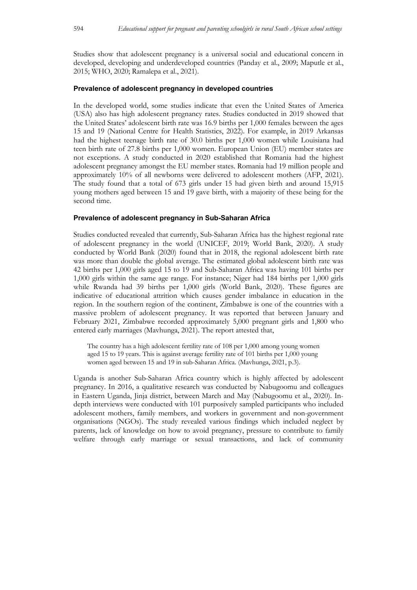Studies show that adolescent pregnancy is a universal social and educational concern in developed, developing and underdeveloped countries (Panday et al., 2009; Maputle et al., 2015; WHO, 2020; Ramalepa et al., 2021).

#### **Prevalence of adolescent pregnancy in developed countries**

In the developed world, some studies indicate that even the United States of America (USA) also has high adolescent pregnancy rates. Studies conducted in 2019 showed that the United States' adolescent birth rate was 16.9 births per 1,000 females between the ages 15 and 19 (National Centre for Health Statistics, 2022). For example, in 2019 Arkansas had the highest teenage birth rate of 30.0 births per 1,000 women while Louisiana had teen birth rate of 27.8 births per 1,000 women. European Union (EU) member states are not exceptions. A study conducted in 2020 established that Romania had the highest adolescent pregnancy amongst the EU member states. Romania had 19 million people and approximately 10% of all newborns were delivered to adolescent mothers (AFP, 2021). The study found that a total of 673 girls under 15 had given birth and around 15,915 young mothers aged between 15 and 19 gave birth, with a majority of these being for the second time.

#### **Prevalence of adolescent pregnancy in Sub-Saharan Africa**

Studies conducted revealed that currently, Sub-Saharan Africa has the highest regional rate of adolescent pregnancy in the world (UNICEF, 2019; World Bank, 2020). A study conducted by World Bank (2020) found that in 2018, the regional adolescent birth rate was more than double the global average. The estimated global adolescent birth rate was 42 births per 1,000 girls aged 15 to 19 and Sub-Saharan Africa was having 101 births per 1,000 girls within the same age range. For instance; Niger had 184 births per 1,000 girls while Rwanda had 39 births per 1,000 girls (World Bank, 2020). These figures are indicative of educational attrition which causes gender imbalance in education in the region. In the southern region of the continent, Zimbabwe is one of the countries with a massive problem of adolescent pregnancy. It was reported that between January and February 2021, Zimbabwe recorded approximately 5,000 pregnant girls and 1,800 who entered early marriages (Mavhunga, 2021). The report attested that,

The country has a high adolescent fertility rate of 108 per 1,000 among young women aged 15 to 19 years. This is against average fertility rate of 101 births per 1,000 young women aged between 15 and 19 in sub-Saharan Africa. (Mavhunga, 2021, p.3).

Uganda is another Sub-Saharan Africa country which is highly affected by adolescent pregnancy. In 2016, a qualitative research was conducted by Nabugoomu and colleagues in Eastern Uganda, Jinja district, between March and May (Nabugoomu et al., 2020). Indepth interviews were conducted with 101 purposively sampled participants who included adolescent mothers, family members, and workers in government and non-government organisations (NGOs). The study revealed various findings which included neglect by parents, lack of knowledge on how to avoid pregnancy, pressure to contribute to family welfare through early marriage or sexual transactions, and lack of community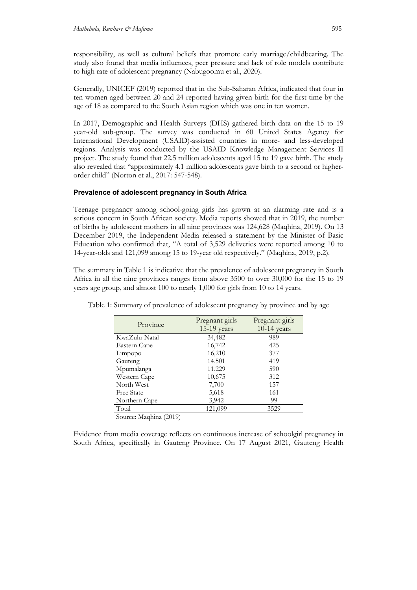responsibility, as well as cultural beliefs that promote early marriage/childbearing. The study also found that media influences, peer pressure and lack of role models contribute to high rate of adolescent pregnancy (Nabugoomu et al., 2020).

Generally, UNICEF (2019) reported that in the Sub-Saharan Africa, indicated that four in ten women aged between 20 and 24 reported having given birth for the first time by the age of 18 as compared to the South Asian region which was one in ten women.

In 2017, Demographic and Health Surveys (DHS) gathered birth data on the 15 to 19 year-old sub-group. The survey was conducted in 60 United States Agency for International Development (USAID)-assisted countries in more- and less-developed regions. Analysis was conducted by the USAID Knowledge Management Services II project. The study found that 22.5 million adolescents aged 15 to 19 gave birth. The study also revealed that "approximately 4.1 million adolescents gave birth to a second or higherorder child" (Norton et al., 2017: 547-548).

### **Prevalence of adolescent pregnancy in South Africa**

Teenage pregnancy among school-going girls has grown at an alarming rate and is a serious concern in South African society. Media reports showed that in 2019, the number of births by adolescent mothers in all nine provinces was 124,628 (Maqhina, 2019). On 13 December 2019, the Independent Media released a statement by the Minister of Basic Education who confirmed that, "A total of 3,529 deliveries were reported among 10 to 14-year-olds and 121,099 among 15 to 19-year old respectively." (Maqhina, 2019, p.2).

The summary in Table 1 is indicative that the prevalence of adolescent pregnancy in South Africa in all the nine provinces ranges from above 3500 to over 30,000 for the 15 to 19 years age group, and almost 100 to nearly 1,000 for girls from 10 to 14 years.

| Province      | Pregnant girls<br>15-19 years | Pregnant girls<br>$10-14$ years |  |
|---------------|-------------------------------|---------------------------------|--|
| KwaZulu-Natal | 34,482                        | 989                             |  |
| Eastern Cape  | 16,742                        | 425                             |  |
| Limpopo       | 16,210                        | 377                             |  |
| Gauteng       | 14,501                        | 419                             |  |
| Mpumalanga    | 11,229                        | 590                             |  |
| Western Cape  | 10,675                        | 312                             |  |
| North West    | 7,700                         | 157                             |  |
| Free State    | 5,618                         | 161                             |  |
| Northern Cape | 3,942                         | 99                              |  |
| Total         | 121,099                       | 3529                            |  |

Table 1: Summary of prevalence of adolescent pregnancy by province and by age

Source: Maqhina (2019)

Evidence from media coverage reflects on continuous increase of schoolgirl pregnancy in South Africa, specifically in Gauteng Province. On 17 August 2021, Gauteng Health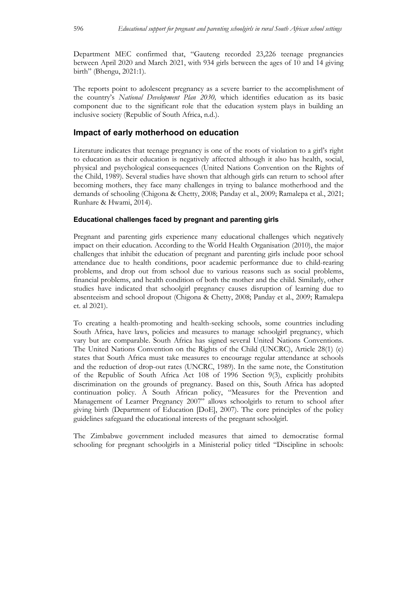Department MEC confirmed that, "Gauteng recorded 23,226 teenage pregnancies between April 2020 and March 2021, with 934 girls between the ages of 10 and 14 giving birth" (Bhengu, 2021:1).

The reports point to adolescent pregnancy as a severe barrier to the accomplishment of the country's *National Development Plan 2030,* which identifies education as its basic component due to the significant role that the education system plays in building an inclusive society (Republic of South Africa, n.d.).

## **Impact of early motherhood on education**

Literature indicates that teenage pregnancy is one of the roots of violation to a girl's right to education as their education is negatively affected although it also has health, social, physical and psychological consequences (United Nations Convention on the Rights of the Child, 1989). Several studies have shown that although girls can return to school after becoming mothers, they face many challenges in trying to balance motherhood and the demands of schooling (Chigona & Chetty, 2008; Panday et al., 2009; Ramalepa et al., 2021; Runhare & Hwami, 2014).

### **Educational challenges faced by pregnant and parenting girls**

Pregnant and parenting girls experience many educational challenges which negatively impact on their education. According to the World Health Organisation (2010), the major challenges that inhibit the education of pregnant and parenting girls include poor school attendance due to health conditions, poor academic performance due to child-rearing problems, and drop out from school due to various reasons such as social problems, financial problems, and health condition of both the mother and the child. Similarly, other studies have indicated that schoolgirl pregnancy causes disruption of learning due to absenteeism and school dropout (Chigona & Chetty, 2008; Panday et al., 2009; Ramalepa et. al 2021).

To creating a health-promoting and health-seeking schools, some countries including South Africa, have laws, policies and measures to manage schoolgirl pregnancy, which vary but are comparable. South Africa has signed several United Nations Conventions. The United Nations Convention on the Rights of the Child (UNCRC), Article 28(1) (e) states that South Africa must take measures to encourage regular attendance at schools and the reduction of drop-out rates (UNCRC, 1989). In the same note, the Constitution of the Republic of South Africa Act 108 of 1996 Section 9(3), explicitly prohibits discrimination on the grounds of pregnancy. Based on this, South Africa has adopted continuation policy. A South African policy, "Measures for the Prevention and Management of Learner Pregnancy 2007" allows schoolgirls to return to school after giving birth (Department of Education [DoE], 2007). The core principles of the policy guidelines safeguard the educational interests of the pregnant schoolgirl.

The Zimbabwe government included measures that aimed to democratise formal schooling for pregnant schoolgirls in a Ministerial policy titled "Discipline in schools: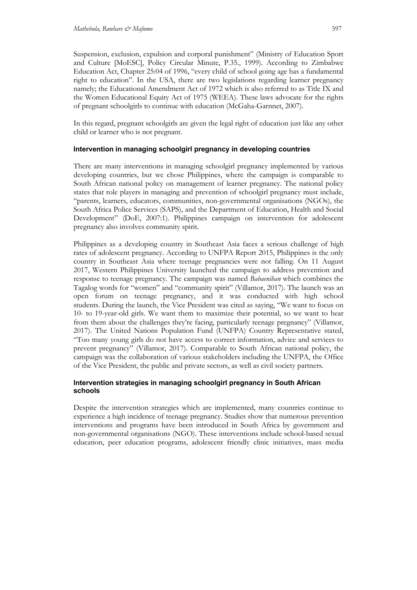Suspension, exclusion, expulsion and corporal punishment" (Ministry of Education Sport and Culture [MoESC], Policy Circular Minute, P.35., 1999). According to Zimbabwe Education Act, Chapter 25:04 of 1996, "every child of school going age has a fundamental right to education". In the USA, there are two legislations regarding learner pregnancy namely; the Educational Amendment Act of 1972 which is also referred to as Title IX and the Women Educational Equity Act of 1975 (WEEA). These laws advocate for the rights of pregnant schoolgirls to continue with education (McGaha-Garnnet, 2007).

In this regard, pregnant schoolgirls are given the legal right of education just like any other child or learner who is not pregnant.

### **Intervention in managing schoolgirl pregnancy in developing countries**

There are many interventions in managing schoolgirl pregnancy implemented by various developing countries, but we chose Philippines, where the campaign is comparable to South African national policy on management of learner pregnancy. The national policy states that role players in managing and prevention of schoolgirl pregnancy must include, "parents, learners, educators, communities, non-governmental organisations (NGOs), the South Africa Police Services (SAPS), and the Department of Education, Health and Social Development" (DoE, 2007:1). Philippines campaign on intervention for adolescent pregnancy also involves community spirit.

Philippines as a developing country in Southeast Asia faces a serious challenge of high rates of adolescent pregnancy. According to UNFPA Report 2015, Philippines is the only country in Southeast Asia where teenage pregnancies were not falling. On 11 August 2017, Western Philippines University launched the campaign to address prevention and response to teenage pregnancy. The campaign was named *Babaenihan* which combines the Tagalog words for "women" and "community spirit" (Villamor, 2017). The launch was an open forum on teenage pregnancy, and it was conducted with high school students. During the launch, the Vice President was cited as saying, "We want to focus on 10- to 19-year-old girls. We want them to maximize their potential, so we want to hear from them about the challenges they're facing, particularly teenage pregnancy" (Villamor, 2017). The United Nations Population Fund (UNFPA) Country Representative stated, "Too many young girls do not have access to correct information, advice and services to prevent pregnancy" (Villamor, 2017). Comparable to South African national policy, the campaign was the collaboration of various stakeholders including the UNFPA, the Office of the Vice President, the public and private sectors, as well as civil society partners.

### **Intervention strategies in managing schoolgirl pregnancy in South African schools**

Despite the intervention strategies which are implemented, many countries continue to experience a high incidence of teenage pregnancy. Studies show that numerous prevention interventions and programs have been introduced in South Africa by government and non-governmental organisations (NGO). These interventions include school-based sexual education, peer education programs, adolescent friendly clinic initiatives, mass media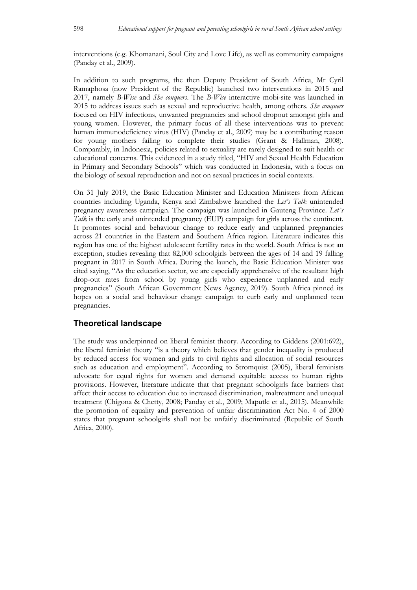interventions (e.g. Khomanani, Soul City and Love Life), as well as community campaigns (Panday et al., 2009).

In addition to such programs, the then Deputy President of South Africa, Mr Cyril Ramaphosa (now President of the Republic) launched two interventions in 2015 and 2017, namely *B-Wise* and *She conquers*. The *B-Wise* interactive mobi-site was launched in 2015 to address issues such as sexual and reproductive health, among others. *She conquers* focused on HIV infections, unwanted pregnancies and school dropout amongst girls and young women. However, the primary focus of all these interventions was to prevent human immunodeficiency virus (HIV) (Panday et al., 2009) may be a contributing reason for young mothers failing to complete their studies (Grant & Hallman, 2008). Comparably, in Indonesia, policies related to sexuality are rarely designed to suit health or educational concerns. This evidenced in a study titled, "HIV and Sexual Health Education in Primary and Secondary Schools" which was conducted in Indonesia, with a focus on the biology of sexual reproduction and not on sexual practices in social contexts.

On 31 July 2019, the Basic Education Minister and Education Ministers from African countries including Uganda, Kenya and Zimbabwe launched the *Let's Talk* unintended pregnancy awareness campaign. The campaign was launched in Gauteng Province. *Let`s Talk* is the early and unintended pregnancy (EUP) campaign for girls across the continent. It promotes social and behaviour change to reduce early and unplanned pregnancies across 21 countries in the Eastern and Southern Africa region. Literature indicates this region has one of the highest adolescent fertility rates in the world. South Africa is not an exception, studies revealing that 82,000 schoolgirls between the ages of 14 and 19 falling pregnant in 2017 in South Africa. During the launch, the Basic Education Minister was cited saying, "As the education sector, we are especially apprehensive of the resultant high drop-out rates from school by young girls who experience unplanned and early pregnancies" (South African Government News Agency, 2019). South Africa pinned its hopes on a social and behaviour change campaign to curb early and unplanned teen pregnancies.

## **Theoretical landscape**

The study was underpinned on liberal feminist theory. According to Giddens (2001:692), the liberal feminist theory "is a theory which believes that gender inequality is produced by reduced access for women and girls to civil rights and allocation of social resources such as education and employment". According to Stromquist (2005), liberal feminists advocate for equal rights for women and demand equitable access to human rights provisions. However, literature indicate that that pregnant schoolgirls face barriers that affect their access to education due to increased discrimination, maltreatment and unequal treatment (Chigona & Chetty, 2008; Panday et al., 2009; Maputle et al., 2015). Meanwhile the promotion of equality and prevention of unfair discrimination Act No. 4 of 2000 states that pregnant schoolgirls shall not be unfairly discriminated (Republic of South Africa, 2000).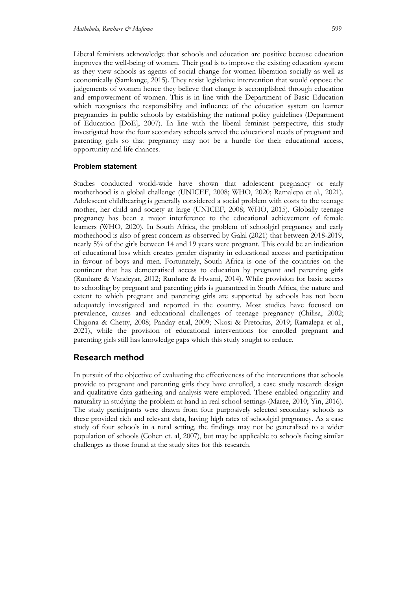Liberal feminists acknowledge that schools and education are positive because education improves the well-being of women. Their goal is to improve the existing education system as they view schools as agents of social change for women liberation socially as well as economically (Samkange, 2015). They resist legislative intervention that would oppose the judgements of women hence they believe that change is accomplished through education and empowerment of women. This is in line with the Department of Basic Education which recognises the responsibility and influence of the education system on learner pregnancies in public schools by establishing the national policy guidelines (Department of Education [DoE], 2007). In line with the liberal feminist perspective, this study investigated how the four secondary schools served the educational needs of pregnant and parenting girls so that pregnancy may not be a hurdle for their educational access, opportunity and life chances.

### **Problem statement**

Studies conducted world-wide have shown that adolescent pregnancy or early motherhood is a global challenge (UNICEF, 2008; WHO, 2020; Ramalepa et al., 2021). Adolescent childbearing is generally considered a social problem with costs to the teenage mother, her child and society at large (UNICEF, 2008; WHO, 2015). Globally teenage pregnancy has been a major interference to the educational achievement of female learners (WHO, 2020). In South Africa, the problem of schoolgirl pregnancy and early motherhood is also of great concern as observed by Galal (2021) that between 2018-2019, nearly 5% of the girls between 14 and 19 years were pregnant. This could be an indication of educational loss which creates gender disparity in educational access and participation in favour of boys and men. Fortunately, South Africa is one of the countries on the continent that has democratised access to education by pregnant and parenting girls (Runhare & Vandeyar, 2012; Runhare & Hwami, 2014). While provision for basic access to schooling by pregnant and parenting girls is guaranteed in South Africa, the nature and extent to which pregnant and parenting girls are supported by schools has not been adequately investigated and reported in the country. Most studies have focused on prevalence, causes and educational challenges of teenage pregnancy (Chilisa, 2002; Chigona & Chetty, 2008; Panday et.al, 2009; Nkosi & Pretorius, 2019; Ramalepa et al., 2021), while the provision of educational interventions for enrolled pregnant and parenting girls still has knowledge gaps which this study sought to reduce.

## **Research method**

In pursuit of the objective of evaluating the effectiveness of the interventions that schools provide to pregnant and parenting girls they have enrolled, a case study research design and qualitative data gathering and analysis were employed. These enabled originality and naturality in studying the problem at hand in real school settings (Maree, 2010; Yin, 2016). The study participants were drawn from four purposively selected secondary schools as these provided rich and relevant data, having high rates of schoolgirl pregnancy. As a case study of four schools in a rural setting, the findings may not be generalised to a wider population of schools (Cohen et. al, 2007), but may be applicable to schools facing similar challenges as those found at the study sites for this research.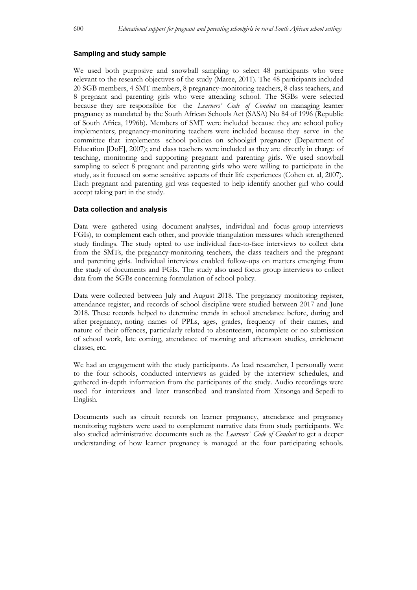#### **Sampling and study sample**

We used both purposive and snowball sampling to select 48 participants who were relevant to the research objectives of the study (Maree, 2011). The 48 participants included 20 SGB members, 4 SMT members, 8 pregnancy-monitoring teachers, 8 class teachers, and 8 pregnant and parenting girls who were attending school. The SGBs were selected because they are responsible for the *Learners' Code of Conduct* on managing learner pregnancy as mandated by the South African Schools Act (SASA) No 84 of 1996 (Republic of South Africa, 1996b). Members of SMT were included because they are school policy implementers; pregnancy-monitoring teachers were included because they serve in the committee that implements school policies on schoolgirl pregnancy (Department of Education [DoE], 2007); and class teachers were included as they are directly in charge of teaching, monitoring and supporting pregnant and parenting girls. We used snowball sampling to select 8 pregnant and parenting girls who were willing to participate in the study, as it focused on some sensitive aspects of their life experiences (Cohen et. al, 2007). Each pregnant and parenting girl was requested to help identify another girl who could accept taking part in the study.

#### **Data collection and analysis**

Data were gathered using document analyses, individual and focus group interviews FGIs), to complement each other, and provide triangulation measures which strengthened study findings. The study opted to use individual face-to-face interviews to collect data from the SMTs, the pregnancy-monitoring teachers, the class teachers and the pregnant and parenting girls. Individual interviews enabled follow-ups on matters emerging from the study of documents and FGIs. The study also used focus group interviews to collect data from the SGBs concerning formulation of school policy.

Data were collected between July and August 2018. The pregnancy monitoring register, attendance register, and records of school discipline were studied between 2017 and June 2018. These records helped to determine trends in school attendance before, during and after pregnancy, noting names of PPLs, ages, grades, frequency of their names, and nature of their offences, particularly related to absenteeism, incomplete or no submission of school work, late coming, attendance of morning and afternoon studies, enrichment classes, etc.

We had an engagement with the study participants. As lead researcher, I personally went to the four schools, conducted interviews as guided by the interview schedules, and gathered in-depth information from the participants of the study. Audio recordings were used for interviews and later transcribed and translated from Xitsonga and Sepedi to English.

Documents such as circuit records on learner pregnancy, attendance and pregnancy monitoring registers were used to complement narrative data from study participants. We also studied administrative documents such as the *Learners` Code of Conduct* to get a deeper understanding of how learner pregnancy is managed at the four participating schools.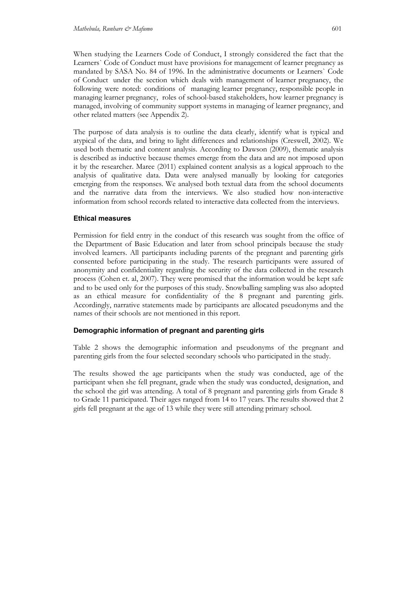When studying the Learners Code of Conduct, I strongly considered the fact that the Learners` Code of Conduct must have provisions for management of learner pregnancy as mandated by SASA No. 84 of 1996. In the administrative documents or Learners` Code of Conduct under the section which deals with management of learner pregnancy, the following were noted: conditions of managing learner pregnancy, responsible people in managing learner pregnancy, roles of school-based stakeholders, how learner pregnancy is managed, involving of community support systems in managing of learner pregnancy, and other related matters (see Appendix 2).

The purpose of data analysis is to outline the data clearly, identify what is typical and atypical of the data, and bring to light differences and relationships (Creswell, 2002). We used both thematic and content analysis. According to Dawson (2009), thematic analysis is described as inductive because themes emerge from the data and are not imposed upon it by the researcher. Maree (2011) explained content analysis as a logical approach to the analysis of qualitative data. Data were analysed manually by looking for categories emerging from the responses. We analysed both textual data from the school documents and the narrative data from the interviews. We also studied how non-interactive information from school records related to interactive data collected from the interviews.

### **Ethical measures**

Permission for field entry in the conduct of this research was sought from the office of the Department of Basic Education and later from school principals because the study involved learners. All participants including parents of the pregnant and parenting girls consented before participating in the study. The research participants were assured of anonymity and confidentiality regarding the security of the data collected in the research process (Cohen et. al, 2007). They were promised that the information would be kept safe and to be used only for the purposes of this study. Snowballing sampling was also adopted as an ethical measure for confidentiality of the 8 pregnant and parenting girls. Accordingly, narrative statements made by participants are allocated pseudonyms and the names of their schools are not mentioned in this report.

## **Demographic information of pregnant and parenting girls**

Table 2 shows the demographic information and pseudonyms of the pregnant and parenting girls from the four selected secondary schools who participated in the study.

The results showed the age participants when the study was conducted, age of the participant when she fell pregnant, grade when the study was conducted, designation, and the school the girl was attending. A total of 8 pregnant and parenting girls from Grade 8 to Grade 11 participated. Their ages ranged from 14 to 17 years. The results showed that 2 girls fell pregnant at the age of 13 while they were still attending primary school.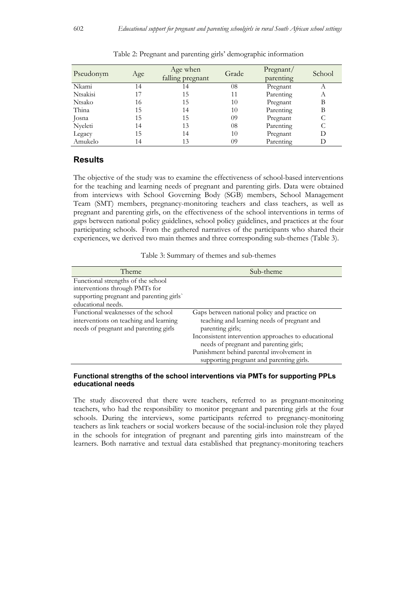| Pseudonym | Age | Age when<br>falling pregnant | Grade | Pregnant/<br>parenting | School |
|-----------|-----|------------------------------|-------|------------------------|--------|
| Nkami     | 14  | 14                           | 08    | Pregnant               | А      |
| Ntsakisi  | 17  | 15                           |       | Parenting              | А      |
| Ntsako    | 16  | 15                           | 10    | Pregnant               | В      |
| Thina     | 15  | 14                           | 10    | Parenting              | В      |
| Josna     | 15  | 15                           | 09    | Pregnant               |        |
| Nyeleti   | 14  | 13                           | 08    | Parenting              |        |
| Legacy    | 15  | 14                           | 10    | Pregnant               | D      |
| Amukelo   | 14  | 13                           | 09    | Parenting              | D      |

Table 2: Pregnant and parenting girls' demographic information

## **Results**

The objective of the study was to examine the effectiveness of school-based interventions for the teaching and learning needs of pregnant and parenting girls. Data were obtained from interviews with School Governing Body (SGB) members, School Management Team (SMT) members, pregnancy-monitoring teachers and class teachers, as well as pregnant and parenting girls, on the effectiveness of the school interventions in terms of gaps between national policy guidelines, school policy guidelines, and practices at the four participating schools. From the gathered narratives of the participants who shared their experiences, we derived two main themes and three corresponding sub-themes (Table 3).

| Theme                                                                                                                                  | Sub-theme                                                                                                                                                                                                                                                                                                 |
|----------------------------------------------------------------------------------------------------------------------------------------|-----------------------------------------------------------------------------------------------------------------------------------------------------------------------------------------------------------------------------------------------------------------------------------------------------------|
| Functional strengths of the school<br>interventions through PMTs for<br>supporting pregnant and parenting girls`<br>educational needs. |                                                                                                                                                                                                                                                                                                           |
| Functional weaknesses of the school<br>interventions on teaching and learning<br>needs of pregnant and parenting girls                 | Gaps between national policy and practice on<br>teaching and learning needs of pregnant and<br>parenting girls;<br>Inconsistent intervention approaches to educational<br>needs of pregnant and parenting girls;<br>Punishment behind parental involvement in<br>supporting pregnant and parenting girls. |

#### **Functional strengths of the school interventions via PMTs for supporting PPLs educational needs**

The study discovered that there were teachers, referred to as pregnant-monitoring teachers, who had the responsibility to monitor pregnant and parenting girls at the four schools. During the interviews, some participants referred to pregnancy-monitoring teachers as link teachers or social workers because of the social-inclusion role they played in the schools for integration of pregnant and parenting girls into mainstream of the learners. Both narrative and textual data established that pregnancy-monitoring teachers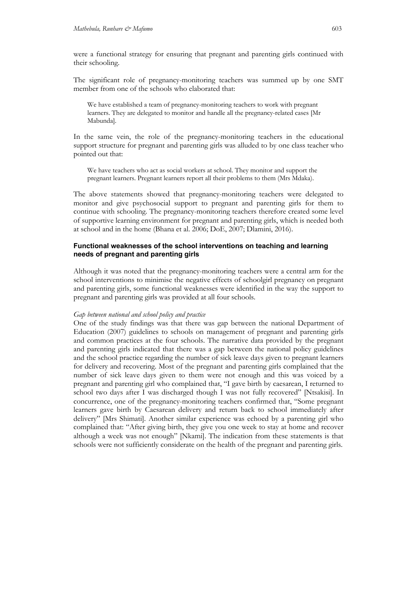were a functional strategy for ensuring that pregnant and parenting girls continued with their schooling.

The significant role of pregnancy-monitoring teachers was summed up by one SMT member from one of the schools who elaborated that:

We have established a team of pregnancy-monitoring teachers to work with pregnant learners. They are delegated to monitor and handle all the pregnancy-related cases [Mr Mabunda].

In the same vein, the role of the pregnancy-monitoring teachers in the educational support structure for pregnant and parenting girls was alluded to by one class teacher who pointed out that:

We have teachers who act as social workers at school. They monitor and support the pregnant learners. Pregnant learners report all their problems to them (Mrs Mdaka).

The above statements showed that pregnancy-monitoring teachers were delegated to monitor and give psychosocial support to pregnant and parenting girls for them to continue with schooling. The pregnancy-monitoring teachers therefore created some level of supportive learning environment for pregnant and parenting girls, which is needed both at school and in the home (Bhana et al. 2006; DoE, 2007; Dlamini, 2016).

#### **Functional weaknesses of the school interventions on teaching and learning needs of pregnant and parenting girls**

Although it was noted that the pregnancy-monitoring teachers were a central arm for the school interventions to minimise the negative effects of schoolgirl pregnancy on pregnant and parenting girls, some functional weaknesses were identified in the way the support to pregnant and parenting girls was provided at all four schools.

#### *Gap between national and school policy and practice*

One of the study findings was that there was gap between the national Department of Education (2007) guidelines to schools on management of pregnant and parenting girls and common practices at the four schools. The narrative data provided by the pregnant and parenting girls indicated that there was a gap between the national policy guidelines and the school practice regarding the number of sick leave days given to pregnant learners for delivery and recovering. Most of the pregnant and parenting girls complained that the number of sick leave days given to them were not enough and this was voiced by a pregnant and parenting girl who complained that, "I gave birth by caesarean, I returned to school two days after I was discharged though I was not fully recovered" [Ntsakisi]. In concurrence, one of the pregnancy-monitoring teachers confirmed that, "Some pregnant learners gave birth by Caesarean delivery and return back to school immediately after delivery" [Mrs Shimati]. Another similar experience was echoed by a parenting girl who complained that: "After giving birth, they give you one week to stay at home and recover although a week was not enough" [Nkami]. The indication from these statements is that schools were not sufficiently considerate on the health of the pregnant and parenting girls.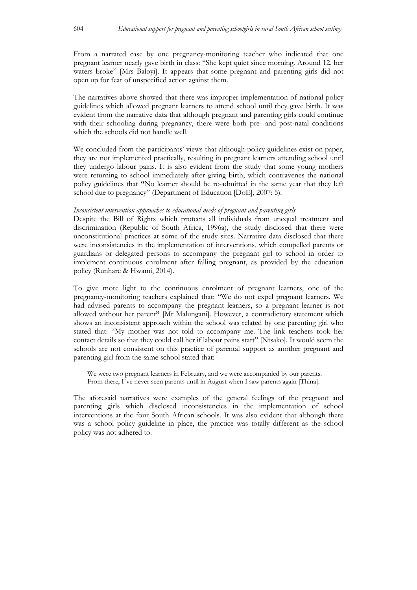From a narrated case by one pregnancy-monitoring teacher who indicated that one pregnant learner nearly gave birth in class: "She kept quiet since morning. Around 12, her waters broke" [Mrs Baloyi]. It appears that some pregnant and parenting girls did not open up for fear of unspecified action against them.

The narratives above showed that there was improper implementation of national policy guidelines which allowed pregnant learners to attend school until they gave birth. It was evident from the narrative data that although pregnant and parenting girls could continue with their schooling during pregnancy, there were both pre- and post-natal conditions which the schools did not handle well.

We concluded from the participants' views that although policy guidelines exist on paper, they are not implemented practically, resulting in pregnant learners attending school until they undergo labour pains. It is also evident from the study that some young mothers were returning to school immediately after giving birth, which contravenes the national policy guidelines that **"**No learner should be re-admitted in the same year that they left school due to pregnancy" (Department of Education [DoE], 2007: 5).

#### *Inconsistent intervention approaches to educational needs of pregnant and parenting girls*

Despite the Bill of Rights which protects all individuals from unequal treatment and discrimination (Republic of South Africa, 1996a), the study disclosed that there were unconstitutional practices at some of the study sites. Narrative data disclosed that there were inconsistencies in the implementation of interventions, which compelled parents or guardians or delegated persons to accompany the pregnant girl to school in order to implement continuous enrolment after falling pregnant, as provided by the education policy (Runhare & Hwami, 2014).

To give more light to the continuous enrolment of pregnant learners, one of the pregnancy-monitoring teachers explained that: "We do not expel pregnant learners. We had advised parents to accompany the pregnant learners, so a pregnant learner is not allowed without her parent**"** [Mr Malungani]. However, a contradictory statement which shows an inconsistent approach within the school was related by one parenting girl who stated that: "My mother was not told to accompany me. The link teachers took her contact details so that they could call her if labour pains start" [Ntsako]. It would seem the schools are not consistent on this practice of parental support as another pregnant and parenting girl from the same school stated that:

We were two pregnant learners in February, and we were accompanied by our parents. From there, I`ve never seen parents until in August when I saw parents again [Thina].

The aforesaid narratives were examples of the general feelings of the pregnant and parenting girls which disclosed inconsistencies in the implementation of school interventions at the four South African schools. It was also evident that although there was a school policy guideline in place, the practice was totally different as the school policy was not adhered to.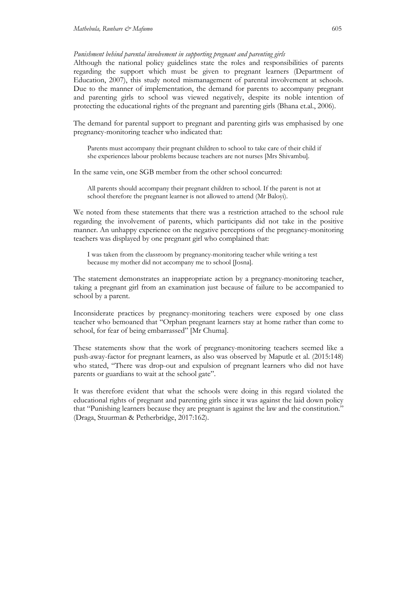*Punishment behind parental involvement in supporting pregnant and parenting girls*

Although the national policy guidelines state the roles and responsibilities of parents regarding the support which must be given to pregnant learners (Department of Education, 2007), this study noted mismanagement of parental involvement at schools. Due to the manner of implementation, the demand for parents to accompany pregnant and parenting girls to school was viewed negatively, despite its noble intention of protecting the educational rights of the pregnant and parenting girls (Bhana et.al., 2006).

The demand for parental support to pregnant and parenting girls was emphasised by one pregnancy-monitoring teacher who indicated that:

Parents must accompany their pregnant children to school to take care of their child if she experiences labour problems because teachers are not nurses [Mrs Shivambu].

In the same vein, one SGB member from the other school concurred:

All parents should accompany their pregnant children to school. If the parent is not at school therefore the pregnant learner is not allowed to attend (Mr Baloyi).

We noted from these statements that there was a restriction attached to the school rule regarding the involvement of parents, which participants did not take in the positive manner. An unhappy experience on the negative perceptions of the pregnancy-monitoring teachers was displayed by one pregnant girl who complained that:

I was taken from the classroom by pregnancy-monitoring teacher while writing a test because my mother did not accompany me to school [Josna].

The statement demonstrates an inappropriate action by a pregnancy-monitoring teacher, taking a pregnant girl from an examination just because of failure to be accompanied to school by a parent.

Inconsiderate practices by pregnancy-monitoring teachers were exposed by one class teacher who bemoaned that "Orphan pregnant learners stay at home rather than come to school, for fear of being embarrassed" [Mr Chuma].

These statements show that the work of pregnancy-monitoring teachers seemed like a push-away-factor for pregnant learners, as also was observed by Maputle et al. (2015:148) who stated, "There was drop-out and expulsion of pregnant learners who did not have parents or guardians to wait at the school gate".

It was therefore evident that what the schools were doing in this regard violated the educational rights of pregnant and parenting girls since it was against the laid down policy that "Punishing learners because they are pregnant is against the law and the constitution." (Draga, Stuurman & Petherbridge, 2017:162).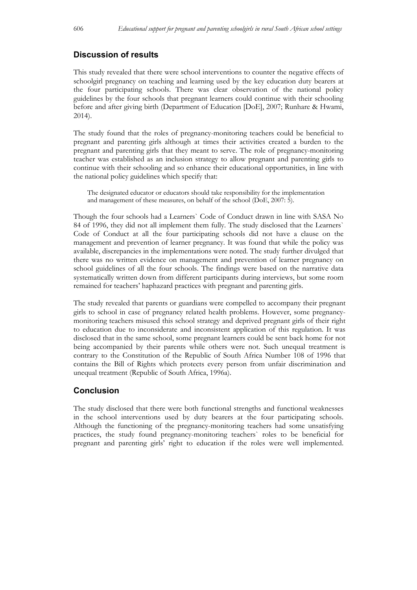## **Discussion of results**

This study revealed that there were school interventions to counter the negative effects of schoolgirl pregnancy on teaching and learning used by the key education duty bearers at the four participating schools. There was clear observation of the national policy guidelines by the four schools that pregnant learners could continue with their schooling before and after giving birth (Department of Education [DoE], 2007; Runhare & Hwami, 2014).

The study found that the roles of pregnancy-monitoring teachers could be beneficial to pregnant and parenting girls although at times their activities created a burden to the pregnant and parenting girls that they meant to serve. The role of pregnancy-monitoring teacher was established as an inclusion strategy to allow pregnant and parenting girls to continue with their schooling and so enhance their educational opportunities, in line with the national policy guidelines which specify that:

The designated educator or educators should take responsibility for the implementation and management of these measures, on behalf of the school (DoE, 2007: 5).

Though the four schools had a Learners` Code of Conduct drawn in line with SASA No 84 of 1996, they did not all implement them fully. The study disclosed that the Learners` Code of Conduct at all the four participating schools did not have a clause on the management and prevention of learner pregnancy. It was found that while the policy was available, discrepancies in the implementations were noted. The study further divulged that there was no written evidence on management and prevention of learner pregnancy on school guidelines of all the four schools. The findings were based on the narrative data systematically written down from different participants during interviews, but some room remained for teachers' haphazard practices with pregnant and parenting girls.

The study revealed that parents or guardians were compelled to accompany their pregnant girls to school in case of pregnancy related health problems. However, some pregnancymonitoring teachers misused this school strategy and deprived pregnant girls of their right to education due to inconsiderate and inconsistent application of this regulation. It was disclosed that in the same school, some pregnant learners could be sent back home for not being accompanied by their parents while others were not. Such unequal treatment is contrary to the Constitution of the Republic of South Africa Number 108 of 1996 that contains the Bill of Rights which protects every person from unfair discrimination and unequal treatment (Republic of South Africa, 1996a).

## **Conclusion**

The study disclosed that there were both functional strengths and functional weaknesses in the school interventions used by duty bearers at the four participating schools. Although the functioning of the pregnancy-monitoring teachers had some unsatisfying practices, the study found pregnancy-monitoring teachers` roles to be beneficial for pregnant and parenting girls' right to education if the roles were well implemented.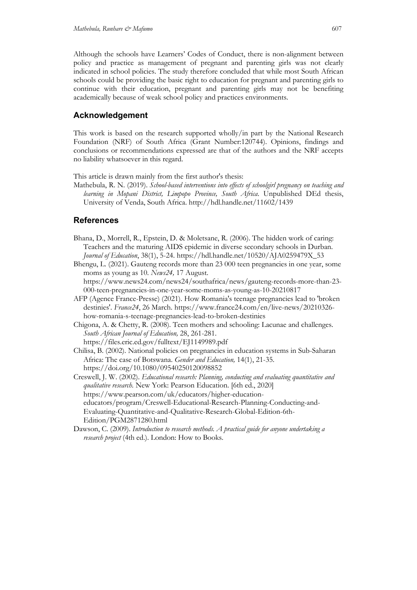Although the schools have Learners' Codes of Conduct, there is non-alignment between policy and practice as management of pregnant and parenting girls was not clearly indicated in school policies. The study therefore concluded that while most South African schools could be providing the basic right to education for pregnant and parenting girls to continue with their education, pregnant and parenting girls may not be benefiting academically because of weak school policy and practices environments.

## **Acknowledgement**

This work is based on the research supported wholly/in part by the National Research Foundation (NRF) of South Africa (Grant Number:120744). Opinions, findings and conclusions or recommendations expressed are that of the authors and the NRF accepts no liability whatsoever in this regard.

This article is drawn mainly from the first author's thesis:

Mathebula, R. N. (2019). *School-based interventions into effects of schoolgirl pregnancy on teaching and learning in Mopani District, Limpopo Province, South Africa*. Unpublished DEd thesis, University of Venda, South Africa. http://hdl.handle.net/11602/1439

## **References**

- Bhana, D., Morrell, R., Epstein, D. & Moletsane, R. (2006). The hidden work of caring: Teachers and the maturing AIDS epidemic in diverse secondary schools in Durban. *Journal of Education*, 38(1), 5-24. https://hdl.handle.net/10520/AJA0259479X\_53
- Bhengu, L. (2021). Gauteng records more than 23 000 teen pregnancies in one year, some moms as young as 10. *News24,* 17 August. https://www.news24.com/news24/southafrica/news/gauteng-records-more-than-23- 000-teen-pregnancies-in-one-year-some-moms-as-young-as-10-20210817
- AFP (Agence France-Presse) (2021). How Romania's teenage pregnancies lead to 'broken destinies'. *France24*, 26 March. https://www.france24.com/en/live-news/20210326 how-romania-s-teenage-pregnancies-lead-to-broken-destinies
- Chigona, A. & Chetty, R. (2008). Teen mothers and schooling: Lacunae and challenges. *South African Journal of Education,* 28, 261-281. https://files.eric.ed.gov/fulltext/EJ1149989.pdf
- Chilisa, B. (2002). National policies on pregnancies in education systems in Sub-Saharan Africa: The case of Botswana. *Gender and Education,* 14(1), 21-35. https://doi.org/10.1080/09540250120098852

Creswell, J. W. (2002). *Educational research: Planning, conducting and evaluating quantitative and qualitative research.* New York: Pearson Education. [6th ed., 2020] https://www.pearson.com/uk/educators/higher-educationeducators/program/Creswell-Educational-Research-Planning-Conducting-and-Evaluating-Quantitative-and-Qualitative-Research-Global-Edition-6th-Edition/PGM2871280.html

Dawson, C. (2009). *Introduction to research methods. A practical guide for anyone undertaking a research project* (4th ed.). London: How to Books.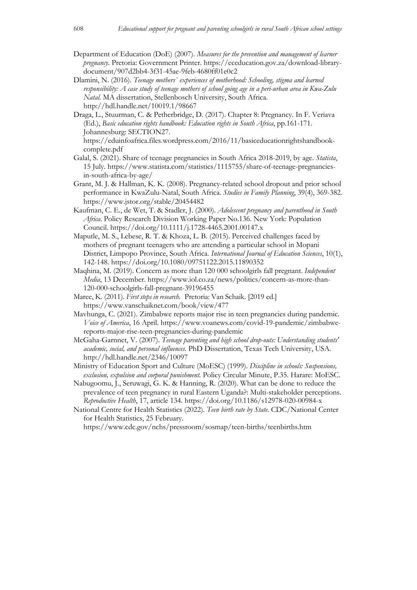- Department of Education (DoE) (2007). *Measures for the prevention and management of learner pregnancy*. Pretoria: Government Printer. https://eceducation.gov.za/download-librarydocument/907d2bb4-3f31-45ae-9feb-4680ff01e0c2
- Dlamini, N. (2016). *Teenage mothers` experiences of motherhood: Schooling, stigma and learned responsibility: A case study of teenage mothers of school going age in a peri-urban area in Kwa-Zulu Natal.* MA dissertation, Stellenbosch University, South Africa. http://hdl.handle.net/10019.1/98667
- Draga, L., Stuurman, C. & Petherbridge, D. (2017). Chapter 8: Pregnancy. In F. Veriava (Ed.), *Basic education rights handbook: Education rights in South Africa*, pp.161-171. Johannesburg: SECTION27.
	- https://eduinfoafrica.files.wordpress.com/2016/11/basiceducationrightshandbookcomplete.pdf
- Galal, S. (2021). Share of teenage pregnancies in South Africa 2018-2019, by age. *Statista*, 15 July. https://www.statista.com/statistics/1115755/share-of-teenage-pregnanciesin-south-africa-by-age/
- Grant, M. J. & Hallman, K. K. (2008). Pregnancy-related school dropout and prior school performance in KwaZulu-Natal, South Africa*. Studies in Family Planning*, 39(4), 369-382. https://www.jstor.org/stable/20454482
- Kaufman, C. E., de Wet, T. & Stadler, J. (2000). *Adolescent pregnancy and parenthood in South Africa*. Policy Research Division Working Paper No.136. New York: Population Council. https://doi.org/10.1111/j.1728-4465.2001.00147.x
- Maputle, M. S., Lebese, R. T. & Khoza, L. B. (2015). Perceived challenges faced by mothers of pregnant teenagers who are attending a particular school in Mopani District, Limpopo Province, South Africa. *International Journal of Education Sciences*, 10(1), 142-148. https://doi.org/10.1080/09751122.2015.11890352
- Maqhina, M. (2019). Concern as more than 120 000 schoolgirls fall pregnant. *Independent Media*, 13 December. https://www.iol.co.za/news/politics/concern-as-more-than-120-000-schoolgirls-fall-pregnant-39196455
- Maree, K. (2011). *First steps in research.* Pretoria: Van Schaik. [2019 ed.] https://www.vanschaiknet.com/book/view/477
- Mavhunga, C. (2021). Zimbabwe reports major rise in teen pregnancies during pandemic. *Voice of America*, 16 April. https://www.voanews.com/covid-19-pandemic/zimbabwereports-major-rise-teen-pregnancies-during-pandemic
- McGaha-Garnnet, V. (2007). *Teenage parenting and high school drop-outs: Understanding students' academic, social, and personal influences.* PhD Dissertation, Texas Tech University, USA. http://hdl.handle.net/2346/10097
- Ministry of Education Sport and Culture (MoESC) (1999). *Discipline in schools: Suspensions, exclusion, expulsion and corporal punishment.* Policy Circular Minute, P.35. Harare: MoESC.
- Nabugoomu, J., Seruwagi, G. K. & Hanning, R. (2020). What can be done to reduce the prevalence of teen pregnancy in rural Eastern Uganda?: Multi-stakeholder perceptions. *Reproductive Health*, 17, article 134. https://doi.org/10.1186/s12978-020-00984-x
- National Centre for Health Statistics (2022). *Teen birth rate by State*. CDC/National Center for Health Statistics, 25 February.

https://www.cdc.gov/nchs/pressroom/sosmap/teen-births/teenbirths.htm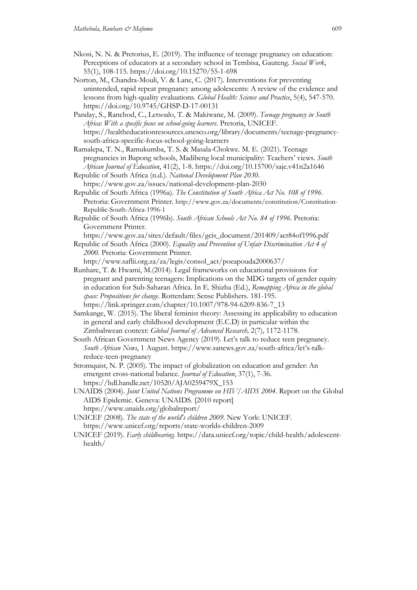- Nkosi, N. N. & Pretorius, E. (2019). The influence of teenage pregnancy on education: Perceptions of educators at a secondary school in Tembisa, Gauteng. *Social Work*, 55(1), 108-115. https://doi.org/10.15270/55-1-698
- Norton, M., Chandra-Mouli, V. & Lane, C. (2017). Interventions for preventing unintended, rapid repeat pregnancy among adolescents: A review of the evidence and lessons from high-quality evaluations. *Global Health: Science and Practice*, 5(4), 547-570. https://doi.org/10.9745/GHSP-D-17-00131

Panday, S., Ranchod, C., Letsoalo, T. & Makiwane, M. (2009). *Teenage pregnancy in South Africa: With a specific focus on school-going learners*. Pretoria, UNICEF. https://healtheducationresources.unesco.org/library/documents/teenage-pregnancysouth-africa-specific-focus-school-going-learners

Ramalepa, T. N., Ramukumba, T. S. & Masala-Chokwe. M. E. (2021). Teenage pregnancies in Bapong schools, Madibeng local municipality: Teachers' views. *South African Journal of Education*, 41(2), 1-8. https://doi.org/10.15700/saje.v41n2a1646 Republic of South Africa (n.d.). *National Development Plan 2030*.

https://www.gov.za/issues/national-development-plan-2030

- Republic of South Africa (1996a). *The Constitution of South Africa Act No. 108 of 1996*. Pretoria: Government Printer. http://www.gov.za/documents/constitution/Constitution-Republic-South-Africa-1996-1
- Republic of South Africa (1996b). *South African Schools Act No. 84 of 1996*. Pretoria: Government Printer.

https://www.gov.za/sites/default/files/gcis\_document/201409/act84of1996.pdf

Republic of South Africa (2000). *Equality and Prevention of Unfair Discrimination Act 4 of 2000*. Pretoria: Government Printer.

http://www.saflii.org.za/za/legis/consol\_act/poeapouda2000637/

- Runhare, T. & Hwami, M.(2014). Legal frameworks on educational provisions for pregnant and parenting teenagers: Implications on the MDG targets of gender equity in education for Sub-Saharan Africa. In E. Shizha (Ed.), *Remapping Africa in the global space: Propositions for change*. Rotterdam: Sense Publishers. 181-195. https://link.springer.com/chapter/10.1007/978-94-6209-836-7\_13
- Samkange, W. (2015). The liberal feminist theory: Assessing its applicability to education in general and early childhood development (E.C.D) in particular within the Zimbabwean context: *Global Journal of Advanced Research,* 2(7), 1172-1178.
- South African Government News Agency (2019). Let's talk to reduce teen pregnancy. *South African News*, 1 August. https://www.sanews.gov.za/south-africa/let's-talkreduce-teen-pregnancy
- Stromquist, N. P. (2005). The impact of globalization on education and gender: An emergent cross-national balance. *Journal of Education*, 37(1), 7-36. https://hdl.handle.net/10520/AJA0259479X\_153
- UNAIDS (2004). *Joint United Nations Programme on HIV/AIDS 2004*. Report on the Global AIDS Epidemic. Geneva: UNAIDS. [2010 report] https://www.unaids.org/globalreport/
- UNICEF (2008). *The state of the world's children 2009.* New York: UNICEF. https://www.unicef.org/reports/state-worlds-children-2009
- UNICEF (2019). *Early childbearing*. https://data.unicef.org/topic/child-health/adolescenthealth/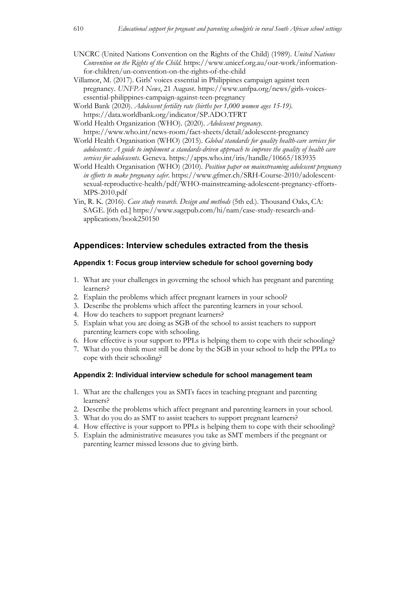- UNCRC (United Nations Convention on the Rights of the Child) (1989). *United Nations Convention on the Rights of the Child*. https://www.unicef.org.au/our-work/informationfor-children/un-convention-on-the-rights-of-the-child
- Villamor, M. (2017). Girls' voices essential in Philippines campaign against teen pregnancy. *UNFPA News*, 21 August. https://www.unfpa.org/news/girls-voicesessential-philippines-campaign-against-teen-pregnancy
- World Bank (2020). *Adolescent fertility rate (births per 1,000 women ages 15-19)*. https://data.worldbank.org/indicator/SP.ADO.TFRT
- World Health Organization (WHO). (2020). *Adolescent pregnancy*. https://www.who.int/news-room/fact-sheets/detail/adolescent-pregnancy
- World Health Organisation (WHO) (2015). *Global standards for quality health-care services for adolescents: A guide to implement a standards-driven approach to improve the quality of health care services for adolescents*. Geneva. https://apps.who.int/iris/handle/10665/183935
- World Health Organisation (WHO) (2010). *Position paper on mainstreaming adolescent pregnancy in efforts to make pregnancy safer*. https://www.gfmer.ch/SRH-Course-2010/adolescentsexual-reproductive-health/pdf/WHO-mainstreaming-adolescent-pregnancy-efforts-MPS-2010.pdf
- Yin, R. K. (2016). *Case study research. Design and methods* (5th ed.). Thousand Oaks, CA: SAGE. [6th ed.] https://www.sagepub.com/hi/nam/case-study-research-andapplications/book250150

## **Appendices: Interview schedules extracted from the thesis**

### **Appendix 1: Focus group interview schedule for school governing body**

- 1. What are your challenges in governing the school which has pregnant and parenting learners?
- 2. Explain the problems which affect pregnant learners in your school?
- 3. Describe the problems which affect the parenting learners in your school.
- 4. How do teachers to support pregnant learners?
- 5. Explain what you are doing as SGB of the school to assist teachers to support parenting learners cope with schooling.
- 6. How effective is your support to PPLs is helping them to cope with their schooling?
- 7. What do you think must still be done by the SGB in your school to help the PPLs to cope with their schooling?

### **Appendix 2: Individual interview schedule for school management team**

- 1. What are the challenges you as SMTs faces in teaching pregnant and parenting learners?
- 2. Describe the problems which affect pregnant and parenting learners in your school.
- 3. What do you do as SMT to assist teachers to support pregnant learners?
- 4. How effective is your support to PPLs is helping them to cope with their schooling?
- 5. Explain the administrative measures you take as SMT members if the pregnant or parenting learner missed lessons due to giving birth.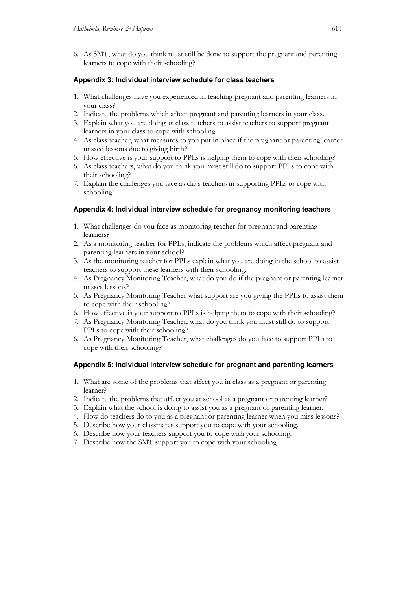6. As SMT, what do you think must still be done to support the pregnant and parenting learners to cope with their schooling?

### **Appendix 3: Individual interview schedule for class teachers**

- 1. What challenges have you experienced in teaching pregnant and parenting learners in your class?
- 2. Indicate the problems which affect pregnant and parenting learners in your class.
- 3. Explain what you are doing as class teachers to assist teachers to support pregnant learners in your class to cope with schooling.
- 4. As class teacher, what measures to you put in place if the pregnant or parenting learner missed lessons due to giving birth?
- 5. How effective is your support to PPLs is helping them to cope with their schooling?
- 6. As class teachers, what do you think you must still do to support PPLs to cope with their schooling?
- 7. Explain the challenges you face as class teachers in supporting PPLs to cope with schooling.

### **Appendix 4: Individual interview schedule for pregnancy monitoring teachers**

- 1. What challenges do you face as monitoring teacher for pregnant and parenting learners?
- 2. As a monitoring teacher for PPLs, indicate the problems which affect pregnant and parenting learners in your school?
- 3. As the monitoring teacher for PPLs explain what you are doing in the school to assist teachers to support these learners with their schooling.
- 4. As Pregnancy Monitoring Teacher, what do you do if the pregnant or parenting learner misses lessons?
- 5. As Pregnancy Monitoring Teacher what support are you giving the PPLs to assist them to cope with their schooling?
- 6. How effective is your support to PPLs is helping them to cope with their schooling?
- 7. As Pregnancy Monitoring Teacher, what do you think you must still do to support PPLs to cope with their schooling?
- 6. As Pregnancy Monitoring Teacher, what challenges do you face to support PPLs to cope with their schooling?

## **Appendix 5: Individual interview schedule for pregnant and parenting learners**

- 1. What are some of the problems that affect you in class as a pregnant or parenting learner?
- 2. Indicate the problems that affect you at school as a pregnant or parenting learner?
- 3. Explain what the school is doing to assist you as a pregnant or parenting learner.
- 4. How do teachers do to you as a pregnant or parenting learner when you miss lessons?
- 5. Describe how your classmates support you to cope with your schooling.
- 6. Describe how your teachers support you to cope with your schooling.
- 7. Describe how the SMT support you to cope with your schooling